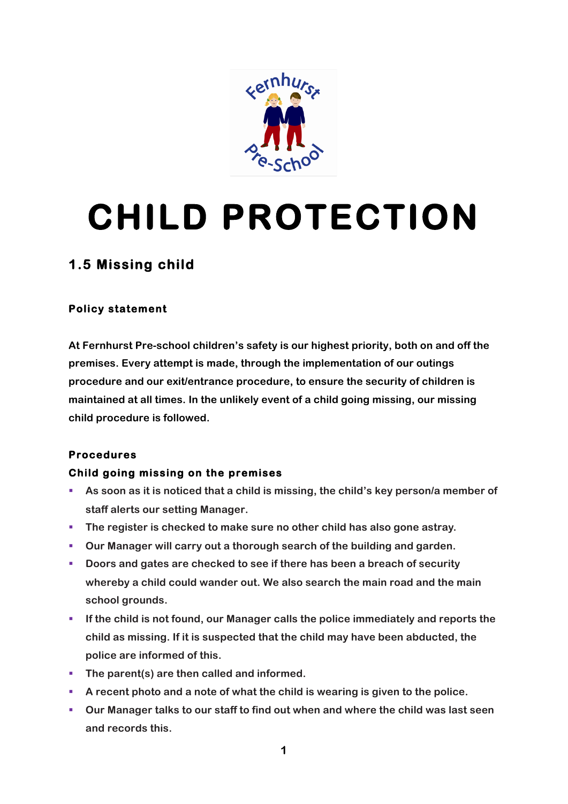

# **CHILD PROTECTION**

# **1.5 Missing child**

## **Policy statement**

**At Fernhurst Pre-school children's safety is our highest priority, both on and off the premises. Every attempt is made, through the implementation of our outings procedure and our exit/entrance procedure, to ensure the security of children is maintained at all times. In the unlikely event of a child going missing, our missing child procedure is followed.**

## **Procedures**

## **Child going missing on the premises**

- § **As soon as it is noticed that a child is missing, the child's key person/a member of staff alerts our setting Manager.**
- § **The register is checked to make sure no other child has also gone astray.**
- § **Our Manager will carry out a thorough search of the building and garden.**
- § **Doors and gates are checked to see if there has been a breach of security whereby a child could wander out. We also search the main road and the main school grounds.**
- § **If the child is not found, our Manager calls the police immediately and reports the child as missing. If it is suspected that the child may have been abducted, the police are informed of this.**
- The parent(s) are then called and informed.
- § **A recent photo and a note of what the child is wearing is given to the police.**
- § **Our Manager talks to our staff to find out when and where the child was last seen and records this.**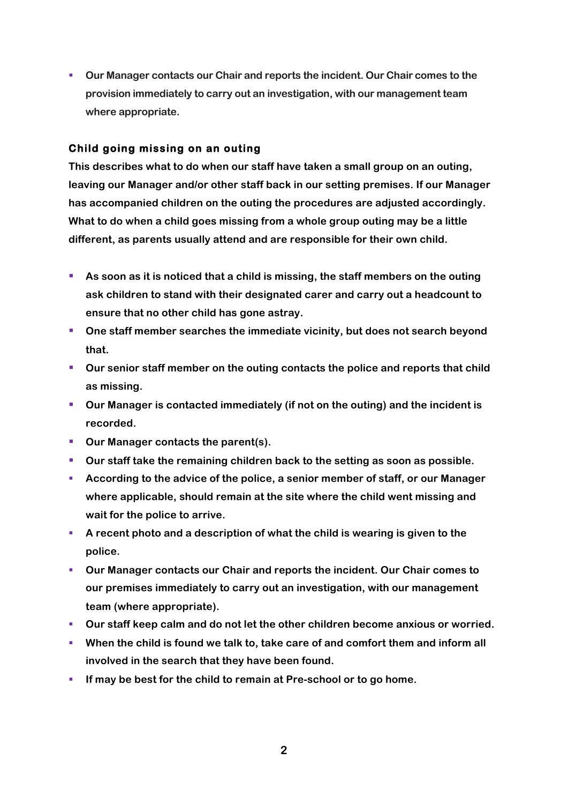§ **Our Manager contacts our Chair and reports the incident. Our Chair comes to the provision immediately to carry out an investigation, with our management team where appropriate.**

#### **Child going missing on an outing**

**This describes what to do when our staff have taken a small group on an outing, leaving our Manager and/or other staff back in our setting premises. If our Manager has accompanied children on the outing the procedures are adjusted accordingly. What to do when a child goes missing from a whole group outing may be a little different, as parents usually attend and are responsible for their own child.** 

- As soon as it is noticed that a child is missing, the staff members on the outing **ask children to stand with their designated carer and carry out a headcount to ensure that no other child has gone astray.**
- § **One staff member searches the immediate vicinity, but does not search beyond that.**
- § **Our senior staff member on the outing contacts the police and reports that child as missing.**
- Our Manager is contacted immediately (if not on the outing) and the incident is **recorded.**
- Our Manager contacts the parent(s).
- § **Our staff take the remaining children back to the setting as soon as possible.**
- § **According to the advice of the police, a senior member of staff, or our Manager where applicable, should remain at the site where the child went missing and wait for the police to arrive.**
- § **A recent photo and a description of what the child is wearing is given to the police.**
- § **Our Manager contacts our Chair and reports the incident. Our Chair comes to our premises immediately to carry out an investigation, with our management team (where appropriate).**
- § **Our staff keep calm and do not let the other children become anxious or worried.**
- § **When the child is found we talk to, take care of and comfort them and inform all involved in the search that they have been found.**
- § **If may be best for the child to remain at Pre-school or to go home.**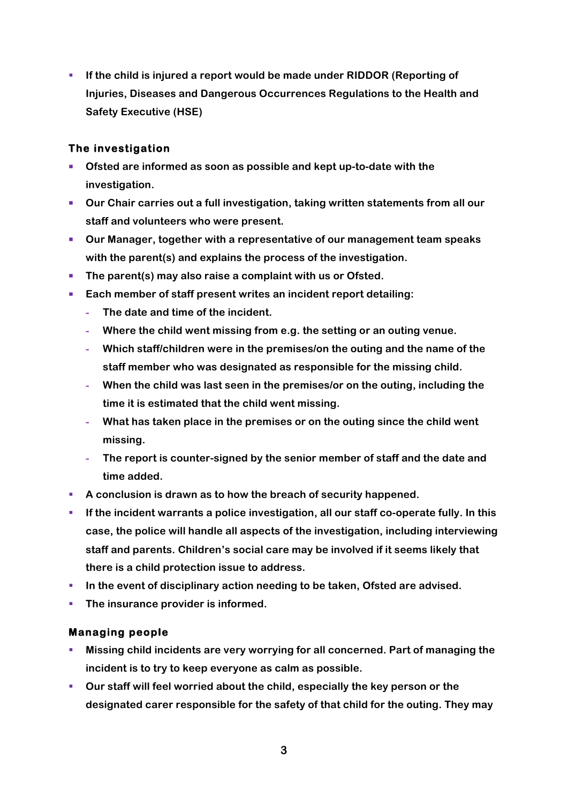§ **If the child is injured a report would be made under RIDDOR (Reporting of Injuries, Diseases and Dangerous Occurrences Regulations to the Health and Safety Executive (HSE)**

#### **The investigation**

- § **Ofsted are informed as soon as possible and kept up-to-date with the investigation.**
- Our Chair carries out a full investigation, taking written statements from all our **staff and volunteers who were present.**
- § **Our Manager, together with a representative of our management team speaks with the parent(s) and explains the process of the investigation.**
- The parent(s) may also raise a complaint with us or Ofsted.
- Each member of staff present writes an incident report detailing:
	- **- The date and time of the incident.**
	- **- Where the child went missing from e.g. the setting or an outing venue.**
	- **- Which staff/children were in the premises/on the outing and the name of the staff member who was designated as responsible for the missing child.**
	- **- When the child was last seen in the premises/or on the outing, including the time it is estimated that the child went missing.**
	- **- What has taken place in the premises or on the outing since the child went missing.**
	- **- The report is counter-signed by the senior member of staff and the date and time added.**
- § **A conclusion is drawn as to how the breach of security happened.**
- **EXECTE:** If the incident warrants a police investigation, all our staff co-operate fully. In this **case, the police will handle all aspects of the investigation, including interviewing staff and parents. Children's social care may be involved if it seems likely that there is a child protection issue to address.**
- **In the event of disciplinary action needing to be taken, Ofsted are advised.**
- The insurance provider is informed.

## **Managing people**

- § **Missing child incidents are very worrying for all concerned. Part of managing the incident is to try to keep everyone as calm as possible.**
- § **Our staff will feel worried about the child, especially the key person or the designated carer responsible for the safety of that child for the outing. They may**